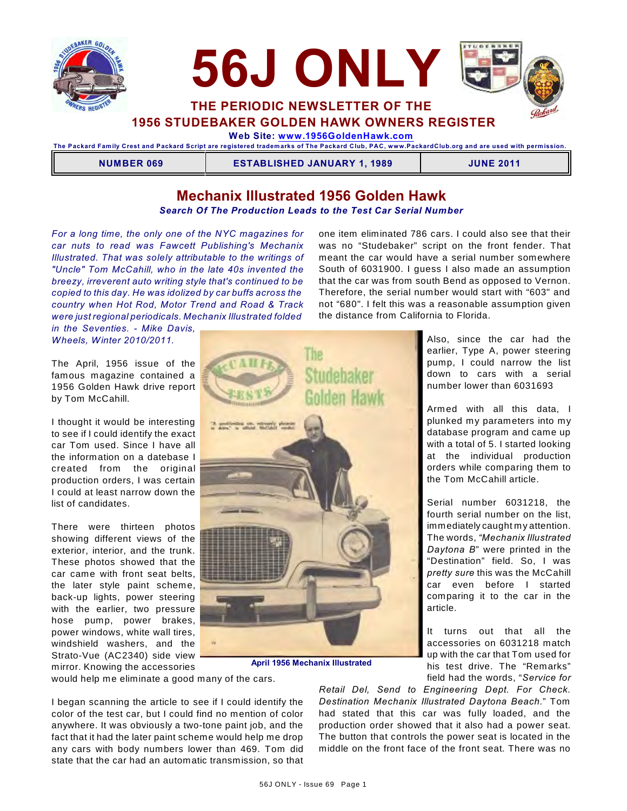



**1956 STUDEBAKER GOLDEN HAWK OWNERS REGISTER**

 **Web Site: [www.1956GoldenHawk.com](http://www.1956GoldenHawk.com)**

**The Packard Fam ily Crest and Packard Script are registered tradem arks of The Packard Club, PAC, www.PackardClub.org and are used with perm ission.** 

**NUMBER 069 ESTABLISHED JANUARY 1, 1989 JUNE 2011**

Also, since the car had the earlier, Type A, power steering pump, I could narrow the list down to cars with a serial number lower than 6031693

Armed with all this data, I plunked my parameters into my database program and came up with a total of 5. I started looking at the individual production orders while comparing them to the Tom McCahill article.

Serial number 6031218, the fourth serial number on the list, immediately caught my attention. The words, *"Mechanix Illustrated Daytona B*" were printed in the "Destination" field. So, I was *pretty sure* this was the McCahill car even before I started comparing it to the car in the

It turns out that all the accessories on 6031218 match up with the car that Tom used for his test drive. The "Remarks" field had the words, "*Service for*

# **Mechanix Illustrated 1956 Golden Hawk**

*Search Of The Production Leads to the Test Car Serial Number*

*For a long time, the only one of the NYC magazines for car nuts to read was Fawcett Publishing's Mechanix Illustrated. That was solely attributable to the writings of "Uncle" Tom McCahill, who in the late 40s invented the breezy, irreverent auto writing style that's continued to be copied to this day. He was idolized by car buffs across the country when Hot Rod, Motor Trend and Road & Track were just regional periodicals. Mechanix Illustrated folded* 

*in the Seventies. - Mike Davis, Wheels, Winter 2010/2011.*

The April, 1956 issue of the famous magazine contained a 1956 Golden Hawk drive report by Tom McCahill.

I thought it would be interesting to see if I could identify the exact car Tom used. Since I have all the information on a datebase I created from the original production orders, I was certain I could at least narrow down the list of candidates.

There were thirteen photos showing different views of the exterior, interior, and the trunk. These photos showed that the car came with front seat belts, the later style paint scheme, back-up lights, power steering with the earlier, two pressure hose pump, power brakes, power windows, white wall tires, windshield washers, and the Strato-Vue (AC2340) side view mirror. Knowing the accessories

one item eliminated 786 cars. I could also see that their was no "Studebaker" script on the front fender. That meant the car would have a serial number somewhere South of 6031900. I guess I also made an assumption that the car was from south Bend as opposed to Vernon. Therefore, the serial number would start with "603" and not "680". I felt this was a reasonable assumption given the distance from California to Florida.



**April 1956 Mechanix Illustrated**

would help me eliminate a good many of the cars.

I began scanning the article to see if I could identify the color of the test car, but I could find no mention of color anywhere. It was obviously a two-tone paint job, and the fact that it had the later paint scheme would help me drop any cars with body numbers lower than 469. Tom did state that the car had an automatic transmission, so that

*Retail Del, Send to Engineering Dept. For Check. Destination Mechanix Illustrated Daytona Beach.*" Tom had stated that this car was fully loaded, and the production order showed that it also had a power seat. The button that controls the power seat is located in the middle on the front face of the front seat. There was no

article.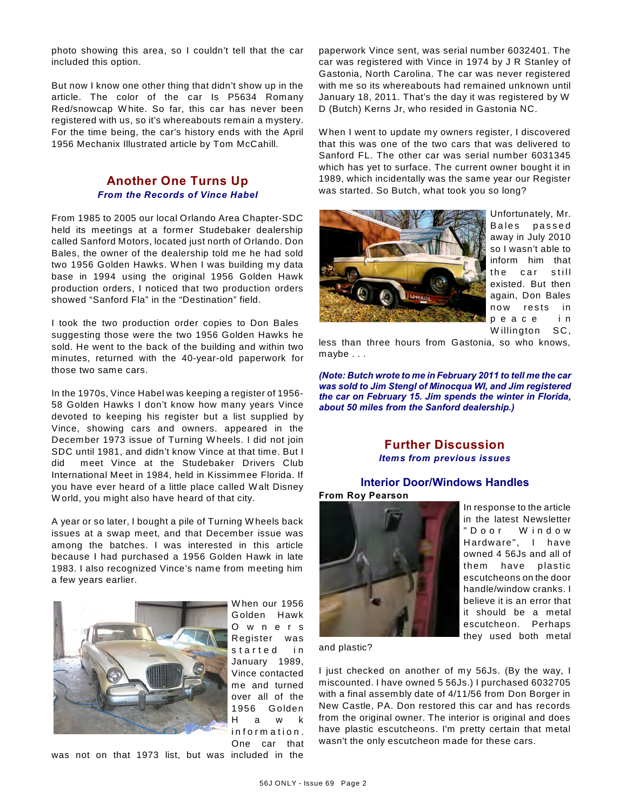photo showing this area, so I couldn't tell that the car included this option.

But now I know one other thing that didn't show up in the article. The color of the car Is P5634 Romany Red/snowcap W hite. So far, this car has never been registered with us, so it's whereabouts remain a mystery. For the time being, the car's history ends with the April 1956 Mechanix Illustrated article by Tom McCahill.

## **Another One Turns Up** *From the Records of Vince Habel*

From 1985 to 2005 our local Orlando Area Chapter-SDC held its meetings at a former Studebaker dealership called Sanford Motors, located just north of Orlando. Don Bales, the owner of the dealership told me he had sold two 1956 Golden Hawks. W hen I was building my data base in 1994 using the original 1956 Golden Hawk production orders, I noticed that two production orders showed "Sanford Fla" in the "Destination" field.

I took the two production order copies to Don Bales suggesting those were the two 1956 Golden Hawks he sold. He went to the back of the building and within two minutes, returned with the 40-year-old paperwork for those two same cars.

In the 1970s, Vince Habel was keeping a register of 1956- 58 Golden Hawks I don't know how many years Vince devoted to keeping his register but a list supplied by Vince, showing cars and owners. appeared in the December 1973 issue of Turning W heels. I did not join SDC until 1981, and didn't know Vince at that time. But I did meet Vince at the Studebaker Drivers Club International Meet in 1984, held in Kissimmee Florida. If you have ever heard of a little place called W alt Disney W orld, you might also have heard of that city.

A year or so later, I bought a pile of Turning W heels back issues at a swap meet, and that December issue was among the batches. I was interested in this article because I had purchased a 1956 Golden Hawk in late 1983. I also recognized Vince's name from meeting him a few years earlier.



W hen our 1956 Golden Hawk O w n e r s Register was started in January 1989, Vince contacted me and turned over all of the 1956 G olden H a w k information. One car that

was not on that 1973 list, but was included in the

paperwork Vince sent, was serial number 6032401. The car was registered with Vince in 1974 by J R Stanley of Gastonia, North Carolina. The car was never registered with me so its whereabouts had remained unknown until January 18, 2011. That's the day it was registered by W D (Butch) Kerns Jr, who resided in Gastonia NC.

W hen I went to update my owners register, I discovered that this was one of the two cars that was delivered to Sanford FL. The other car was serial number 6031345 which has yet to surface. The current owner bought it in 1989, which incidentally was the same year our Register was started. So Butch, what took you so long?



Unfortunately, Mr. Bales passed away in July 2010 so I wasn't able to inform him that the car still existed. But then again, Don Bales now rests in p e a c e i n W illington SC,

less than three hours from Gastonia, so who knows, maybe . . .

*(Note: Butch wrote to me in February 2011 to tell me the car was sold to Jim Stengl of Minocqua WI, and Jim registered the car on February 15. Jim spends the winter in Florida, about 50 miles from the Sanford dealership.)*

# **Further Discussion** *Items from previous issues*

## **Interior Door/Windows Handles From Roy Pearson**



In response to the article in the latest Newsletter " D o o r W i n d o w Hardware", I have owned 4 56Js and all of them have plastic escutcheons on the door handle/window cranks. I believe it is an error that it should be a metal escutcheon. Perhaps they used both metal

and plastic?

I just checked on another of my 56Js. (By the way, I miscounted. I have owned 5 56Js.) I purchased 6032705 with a final assembly date of 4/11/56 from Don Borger in New Castle, PA. Don restored this car and has records from the original owner. The interior is original and does have plastic escutcheons. I'm pretty certain that metal wasn't the only escutcheon made for these cars.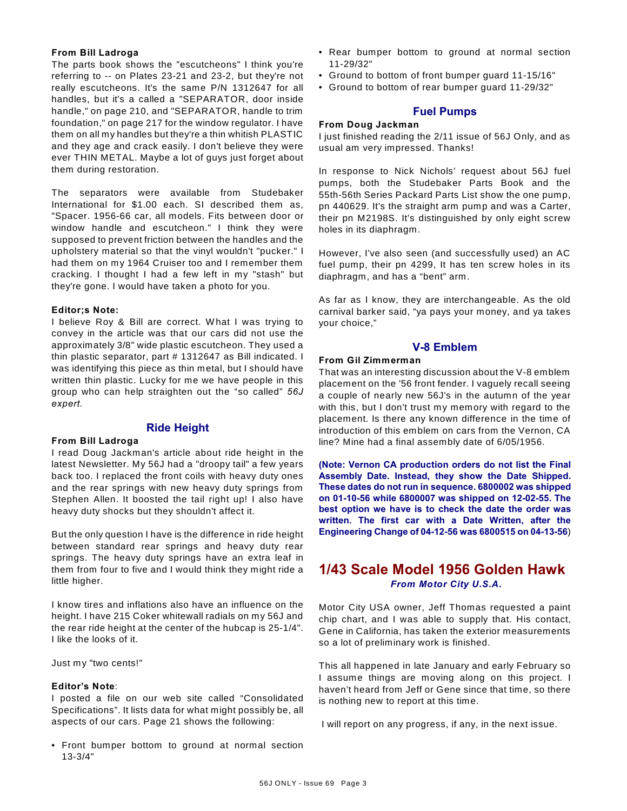### **From Bill Ladroga**

The parts book shows the "escutcheons" I think you're referring to -- on Plates 23-21 and 23-2, but they're not really escutcheons. It's the same P/N 1312647 for all handles, but it's a called a "SEPARATOR, door inside handle," on page 210, and "SEPARATOR, handle to trim foundation," on page 217 for the window regulator. I have them on all my handles but they're a thin whitish PLASTIC and they age and crack easily. I don't believe they were ever THIN METAL. Maybe a lot of guys just forget about them during restoration.

The separators were available from Studebaker International for \$1.00 each. SI described them as, "Spacer. 1956-66 car, all models. Fits between door or window handle and escutcheon." I think they were supposed to prevent friction between the handles and the upholstery material so that the vinyl wouldn't "pucker." I had them on my 1964 Cruiser too and I remember them cracking. I thought I had a few left in my "stash" but they're gone. I would have taken a photo for you.

## **Editor;s Note:**

I believe Roy & Bill are correct. W hat I was trying to convey in the article was that our cars did not use the approximately 3/8" wide plastic escutcheon. They used a thin plastic separator, part # 1312647 as Bill indicated. I was identifying this piece as thin metal, but I should have written thin plastic. Lucky for me we have people in this group who can help straighten out the "so called" *56J expert.*

## **Ride Height**

### **From Bill Ladroga**

I read Doug Jackman's article about ride height in the latest Newsletter. My 56J had a "droopy tail" a few years back too. I replaced the front coils with heavy duty ones and the rear springs with new heavy duty springs from Stephen Allen. It boosted the tail right up! I also have heavy duty shocks but they shouldn't affect it.

But the only question I have is the difference in ride height between standard rear springs and heavy duty rear springs. The heavy duty springs have an extra leaf in them from four to five and I would think they might ride a little higher.

I know tires and inflations also have an influence on the height. I have 215 Coker whitewall radials on my 56J and the rear ride height at the center of the hubcap is 25-1/4". I like the looks of it.

Just my "two cents!"

### **Editor's Note**:

I posted a file on our web site called "Consolidated Specifications". It lists data for what might possibly be, all aspects of our cars. Page 21 shows the following:

• Front bumper bottom to ground at normal section 13-3/4"

- Rear bumper bottom to ground at normal section 11-29/32"
- Ground to bottom of front bumper guard 11-15/16"
- Ground to bottom of rear bumper guard 11-29/32"

## **Fuel Pumps**

### **From Doug Jackman**

I just finished reading the 2/11 issue of 56J Only, and as usual am very impressed. Thanks!

In response to Nick Nichols' request about 56J fuel pumps, both the Studebaker Parts Book and the 55th-56th Series Packard Parts List show the one pump, pn 440629. It's the straight arm pump and was a Carter, their pn M2198S. It's distinguished by only eight screw holes in its diaphragm.

However, I've also seen (and successfully used) an AC fuel pump, their pn 4299, It has ten screw holes in its diaphragm, and has a "bent" arm.

As far as I know, they are interchangeable. As the old carnival barker said, "ya pays your money, and ya takes your choice,"

## **V-8 Emblem**

## **From Gil Zimmerman**

That was an interesting discussion about the V-8 emblem placement on the '56 front fender. I vaguely recall seeing a couple of nearly new 56J's in the autumn of the year with this, but I don't trust my memory with regard to the placement. Is there any known difference in the time of introduction of this emblem on cars from the Vernon, CA line? Mine had a final assembly date of 6/05/1956.

**(Note: Vernon CA production orders do not list the Final Assembly Date. Instead, they show the Date Shipped. These dates do not run in sequence. 6800002 was shipped on 01-10-56 while 6800007 was shipped on 12-02-55. The best option we have is to check the date the order was written. The first car with a Date Written, after the Engineering Change of 04-12-56 was 6800515 on 04-13-56**)

# **1/43 Scale Model 1956 Golden Hawk** *From Motor City U.S.A.*

Motor City USA owner, Jeff Thomas requested a paint chip chart, and I was able to supply that. His contact, Gene in California, has taken the exterior measurements so a lot of preliminary work is finished.

This all happened in late January and early February so I assume things are moving along on this project. I haven't heard from Jeff or Gene since that time, so there is nothing new to report at this time.

I will report on any progress, if any, in the next issue.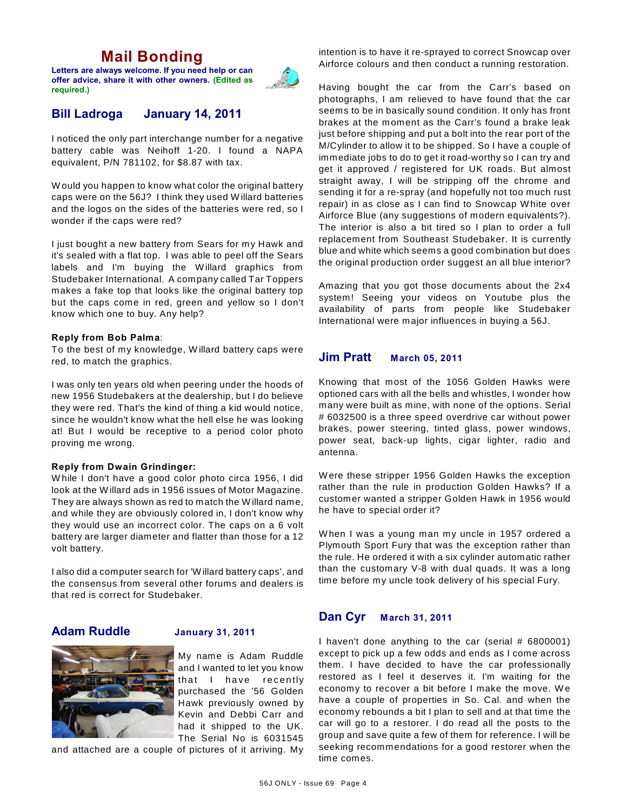# **Mail Bonding**

**Letters are always welcome. If you need help or can offer advice, share it with other owners. (Edited as required.)**



# **Bill Ladroga January 14, 2011**

I noticed the only part interchange number for a negative battery cable was Neihoff 1-20. I found a NAPA equivalent, P/N 781102, for \$8.87 with tax.

W ould you happen to know what color the original battery caps were on the 56J? I think they used W illard batteries and the logos on the sides of the batteries were red, so I wonder if the caps were red?

I just bought a new battery from Sears for my Hawk and it's sealed with a flat top. I was able to peel off the Sears labels and I'm buying the W illard graphics from Studebaker International. A company called Tar Toppers makes a fake top that looks like the original battery top but the caps come in red, green and yellow so I don't know which one to buy. Any help?

## **Reply from Bob Palma**:

To the best of my knowledge, W illard battery caps were red, to match the graphics.

I was only ten years old when peering under the hoods of new 1956 Studebakers at the dealership, but I do believe they were red. That's the kind of thing a kid would notice, since he wouldn't know what the hell else he was looking at! But I would be receptive to a period color photo proving me wrong.

### **Reply from Dwain Grindinger:**

W hile I don't have a good color photo circa 1956, I did look at the W illard ads in 1956 issues of Motor Magazine. They are always shown as red to match the W illard name, and while they are obviously colored in, I don't know why they would use an incorrect color. The caps on a 6 volt battery are larger diameter and flatter than those for a 12 volt battery.

I also did a computer search for 'W illard battery caps', and the consensus from several other forums and dealers is that red is correct for Studebaker.

# **Adam Ruddle January 31, 2011**

My name is Adam Ruddle and I wanted to let you know that I have recently purchased the '56 Golden Hawk previously owned by Kevin and Debbi Carr and had it shipped to the UK. The Serial No is 6031545

and attached are a couple of pictures of it arriving. My

intention is to have it re-sprayed to correct Snowcap over Airforce colours and then conduct a running restoration.

Having bought the car from the Carr's based on photographs, I am relieved to have found that the car seems to be in basically sound condition. It only has front brakes at the moment as the Carr's found a brake leak just before shipping and put a bolt into the rear port of the M/Cylinder to allow it to be shipped. So I have a couple of immediate jobs to do to get it road-worthy so I can try and get it approved / registered for UK roads. But almost straight away, I will be stripping off the chrome and sending it for a re-spray (and hopefully not too much rust repair) in as close as I can find to Snowcap W hite over Airforce Blue (any suggestions of modern equivalents?). The interior is also a bit tired so I plan to order a full replacement from Southeast Studebaker. It is currently blue and white which seems a good combination but does the original production order suggest an all blue interior?

Amazing that you got those documents about the 2x4 system! Seeing your videos on Youtube plus the availability of parts from people like Studebaker International were major influences in buying a 56J.

# **Jim Pratt March 05, 2011**

Knowing that most of the 1056 Golden Hawks were optioned cars with all the bells and whistles, I wonder how many were built as mine, with none of the options. Serial # 6032500 is a three speed overdrive car without power brakes, power steering, tinted glass, power windows, power seat, back-up lights, cigar lighter, radio and antenna.

W ere these stripper 1956 Golden Hawks the exception rather than the rule in production Golden Hawks? If a customer wanted a stripper Golden Hawk in 1956 would he have to special order it?

W hen I was a young man my uncle in 1957 ordered a Plymouth Sport Fury that was the exception rather than the rule. He ordered it with a six cylinder automatic rather than the customary V-8 with dual quads. It was a long time before my uncle took delivery of his special Fury.

## **Dan Cyr March 31, 2011**

I haven't done anything to the car (serial # 6800001) except to pick up a few odds and ends as I come across them. I have decided to have the car professionally restored as I feel it deserves it. I'm waiting for the economy to recover a bit before I make the move. We have a couple of properties in So. Cal. and when the economy rebounds a bit I plan to sell and at that time the car will go to a restorer. I do read all the posts to the group and save quite a few of them for reference. I will be seeking recommendations for a good restorer when the time comes.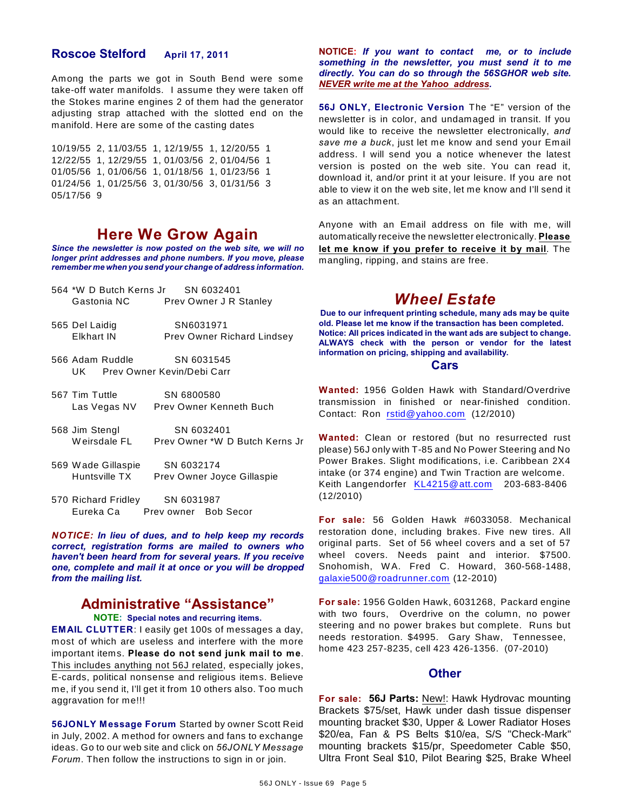## **Roscoe Stelford April 17, 2011**

Among the parts we got in South Bend were some take-off water manifolds. I assume they were taken off the Stokes marine engines 2 of them had the generator adjusting strap attached with the slotted end on the manifold. Here are some of the casting dates

10/19/55 2, 11/03/55 1, 12/19/55 1, 12/20/55 1 12/22/55 1, 12/29/55 1, 01/03/56 2, 01/04/56 1 01/05/56 1, 01/06/56 1, 01/18/56 1, 01/23/56 1 01/24/56 1, 01/25/56 3, 01/30/56 3, 01/31/56 3 05/17/56 9

# **Here We Grow Again**

*Since the newsletter is now posted on the web site, we will no longer print addresses and phone numbers. If you move, please remember me when you send your change of address information.*

- 564 \*W D Butch Kerns Jr SN 6032401 Gastonia NC Prev Owner J R Stanley
- 565 Del Laidig SN6031971 Elkhart IN Prev Owner Richard Lindsey
- 566 Adam Ruddle SN 6031545 UK Prev Owner Kevin/Debi Carr
- 567 Tim Tuttle SN 6800580 Las Vegas NV Prev Owner Kenneth Buch
- 568 Jim Stengl SN 6032401 Weirsdale FL Prev Owner \*W D Butch Kerns Jr
- 569 W ade Gillaspie SN 6032174 Huntsville TX Prev Owner Joyce Gillaspie

570 Richard Fridley SN 6031987 Eureka Ca Prev owner Bob Secor

*NOTICE: In lieu of dues, and to help keep my records correct, registration forms are mailed to owners who haven't been heard from for several years. If you receive one, complete and mail it at once or you will be dropped from the mailing list.*

# **Administrative "Assistance"**

### **NOTE: Special notes and recurring items.**

**EMAIL CLUTTER**: I easily get 100s of messages a day, most of which are useless and interfere with the more important items. **Please do not send junk mail to me**. This includes anything not 56J related, especially jokes, E-cards, political nonsense and religious items. Believe me, if you send it, I'll get it from 10 others also. Too much aggravation for me!!!

**56JONLY Message Forum** Started by owner Scott Reid in July, 2002. A method for owners and fans to exchange ideas. Go to our web site and click on *56JONLY Message Forum*. Then follow the instructions to sign in or join.

**NOTICE:** *If you want to contact me, or to include something in the newsletter, you must send it to me directly. You can do so through the 56SGHOR web site. NEVER write me at the Yahoo address.*

**56J ONLY, Electronic Version** The "E" version of the newsletter is in color, and undamaged in transit. If you would like to receive the newsletter electronically, *and save me a buck*, just let me know and send your Email address. I will send you a notice whenever the latest version is posted on the web site. You can read it, download it, and/or print it at your leisure. If you are not able to view it on the web site, let me know and I'll send it as an attachment.

Anyone with an Email address on file with me, will automatically receive the newsletter electronically. **Please let me know if you prefer to receive it by mail**. The mangling, ripping, and stains are free.

# *Wheel Estate*

**Due to our infrequent printing schedule, many ads may be quite old. Please let me know if the transaction has been completed. Notice: All prices indicated in the want ads are subject to change. ALWAYS check with the person or vendor for the latest information on pricing, shipping and availability.**

## **Cars**

**Wanted:** 1956 Golden Hawk with Standard/Overdrive transmission in finished or near-finished condition. Contact: Ron [rstid@yahoo.com](mailto:rstid@yahoo.com) (12/2010)

**Wanted:** Clean or restored (but no resurrected rust please) 56J only with T-85 and No Power Steering and No Power Brakes. Slight modifications, i.e. Caribbean 2X4 intake (or 374 engine) and Twin Traction are welcome. Keith Langendorfer [KL4215@att.com](mailto:KL4215@att.com) 203-683-8406 (12/2010)

**For sale:** 56 Golden Hawk #6033058. Mechanical restoration done, including brakes. Five new tires. All original parts. Set of 56 wheel covers and a set of 57 wheel covers. Needs paint and interior. \$7500. Snohomish, W A. Fred C. Howard, 360-568-1488, [galaxie500@roadrunner.com](mailto:galaxie500@roadrunner.com) (12-2010)

**For sale:** 1956 Golden Hawk, 6031268, Packard engine with two fours, Overdrive on the column, no power steering and no power brakes but complete. Runs but needs restoration. \$4995. Gary Shaw, Tennessee, home 423 257-8235, cell 423 426-1356. (07-2010)

### **Other**

**For sale: 56J Parts:** New!: Hawk Hydrovac mounting Brackets \$75/set, Hawk under dash tissue dispenser mounting bracket \$30, Upper & Lower Radiator Hoses \$20/ea, Fan & PS Belts \$10/ea, S/S "Check-Mark" mounting brackets \$15/pr, Speedometer Cable \$50, Ultra Front Seal \$10, Pilot Bearing \$25, Brake Wheel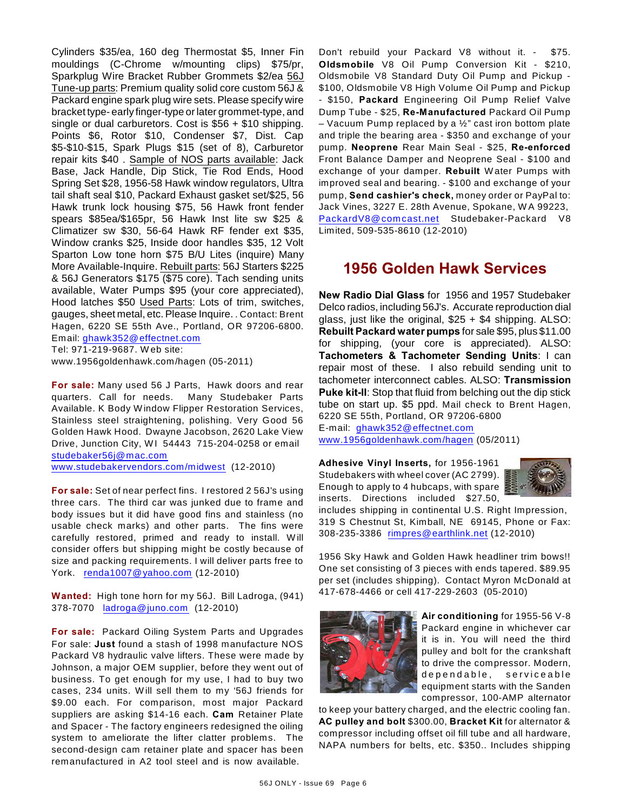Cylinders \$35/ea, 160 deg Thermostat \$5, Inner Fin mouldings (C-Chrome w/mounting clips) \$75/pr, Sparkplug Wire Bracket Rubber Grommets \$2/ea 56J Tune-up parts: Premium quality solid core custom 56J & Packard engine spark plug wire sets. Please specify wire bracket type- early finger-type or later grommet-type, and single or dual carburetors. Cost is \$56 + \$10 shipping. Points \$6, Rotor \$10, Condenser \$7, Dist. Cap \$5-\$10-\$15, Spark Plugs \$15 (set of 8), Carburetor repair kits \$40 . Sample of NOS parts available: Jack Base, Jack Handle, Dip Stick, Tie Rod Ends, Hood Spring Set \$28, 1956-58 Hawk window regulators, Ultra tail shaft seal \$10, Packard Exhaust gasket set/\$25, 56 Hawk trunk lock housing \$75, 56 Hawk front fender spears \$85ea/\$165pr, 56 Hawk Inst lite sw \$25 & Climatizer sw \$30, 56-64 Hawk RF fender ext \$35, Window cranks \$25, Inside door handles \$35, 12 Volt Sparton Low tone horn \$75 B/U Lites (inquire) Many More Available-Inquire. Rebuilt parts: 56J Starters \$225 & 56J Generators \$175 (\$75 core). Tach sending units available, Water Pumps \$95 (your core appreciated), Hood latches \$50 Used Parts: Lots of trim, switches, gauges, sheet metal, etc. Please Inquire. . Contact: Brent Hagen, 6220 SE 55th Ave., Portland, OR 97206-6800. Email: [ghawk352@effectnet.com](mailto:ghawk352@effectnet.com) Tel: 971-219-9687. W eb site:

www.1956goldenhawk.com/hagen (05-2011)

**For sale:** Many used 56 J Parts, Hawk doors and rear quarters. Call for needs. Many Studebaker Parts Available. K Body W indow Flipper Restoration Services, Stainless steel straightening, polishing. Very Good 56 Golden Hawk Hood. Dwayne Jacobson, 2620 Lake View Drive, Junction City, W1 54443 715-204-0258 or email [studebaker56j@mac.com](mailto:studebaker56j@mac.com)

[www.studebakervendors.com/midwest](http://www.studebakervendors.com/midwest) (12-2010)

**For sale:** Set of near perfect fins. I restored 2 56J's using three cars. The third car was junked due to frame and body issues but it did have good fins and stainless (no usable check marks) and other parts. The fins were carefully restored, primed and ready to install. W ill consider offers but shipping might be costly because of size and packing requirements. I will deliver parts free to York. [renda1007@yahoo.com](mailto:renda1007@yahoo.com) (12-2010)

**Wanted:** High tone horn for my 56J. Bill Ladroga, (941) 378-7070 [ladroga@juno.com](mailto:ladroga@juno.com) (12-2010)

**For sale:** Packard Oiling System Parts and Upgrades For sale: **Just** found a stash of 1998 manufacture NOS Packard V8 hydraulic valve lifters. These were made by Johnson, a major OEM supplier, before they went out of business. To get enough for my use, I had to buy two cases, 234 units. W ill sell them to my '56J friends for \$9.00 each. For comparison, most major Packard suppliers are asking \$14-16 each. **Cam** Retainer Plate and Spacer - The factory engineers redesigned the oiling system to ameliorate the lifter clatter problems. The second-design cam retainer plate and spacer has been remanufactured in A2 tool steel and is now available.

Don't rebuild your Packard V8 without it. - \$75. **Oldsmobile** V8 Oil Pump Conversion Kit - \$210, Oldsmobile V8 Standard Duty Oil Pump and Pickup - \$100, Oldsmobile V8 High Volume Oil Pump and Pickup - \$150, **Packard** Engineering Oil Pump Relief Valve Dump Tube - \$25, **Re-Manufactured** Packard Oil Pump – Vacuum Pump replaced by a  $\frac{1}{2}$ " cast iron bottom plate and triple the bearing area - \$350 and exchange of your pump. **Neoprene** Rear Main Seal - \$25, **Re-enforced** Front Balance Damper and Neoprene Seal - \$100 and exchange of your damper. **Rebuilt** W ater Pumps with improved seal and bearing. - \$100 and exchange of your pump, **Send cashier's check,** money order or PayPal to: Jack Vines, 3227 E. 28th Avenue, Spokane, W A 99223, PackardV8@comcast.net Studebaker-Packard V8 Limited, 509-535-8610 (12-2010)

# **1956 Golden Hawk Services**

**New Radio Dial Glass** for 1956 and 1957 Studebaker Delco radios, including 56J's. Accurate reproduction dial glass, just like the original,  $$25 + $4$  shipping. ALSO: **Rebuilt Packard water pumps** for sale \$95, plus \$11.00 for shipping, (your core is appreciated). ALSO: **Tachometers & Tachometer Sending Units**: I can repair most of these. I also rebuild sending unit to tachometer interconnect cables. ALSO: **Transmission Puke kit-II**: Stop that fluid from belching out the dip stick tube on start up. \$5 ppd. Mail check to Brent Hagen, 6220 SE 55th, Portland, OR 97206-6800 E-mail: [ghawk352@effectnet.com](mailto:ghawk352@effectnet.com)

[www.1956goldenhawk.com/hagen](http://www.1956goldenhawk.com/hagen) (05/2011)

**Adhesive Vinyl Inserts,** for 1956-1961 Studebakers with wheel cover (AC 2799). Enough to apply to 4 hubcaps, with spare inserts. Directions included \$27.50,



includes shipping in continental U.S. Right Impression, 319 S Chestnut St, Kimball, NE 69145, Phone or Fax: 308-235-3386 [rimpres@earthlink.net](mailto:rimpres@earthlink.net) (12-2010)

1956 Sky Hawk and Golden Hawk headliner trim bows!! One set consisting of 3 pieces with ends tapered. \$89.95 per set (includes shipping). Contact Myron McDonald at 417-678-4466 or cell 417-229-2603 (05-2010)



**Air conditioning** for 1955-56 V-8 Packard engine in whichever car it is in. You will need the third pulley and bolt for the crankshaft to drive the compressor. Modern, dependable, serviceable equipment starts with the Sanden compressor, 100-AMP alternator

to keep your battery charged, and the electric cooling fan. **AC pulley and bolt** \$300.00, **Bracket Kit** for alternator & compressor including offset oil fill tube and all hardware, NAPA numbers for belts, etc. \$350.. Includes shipping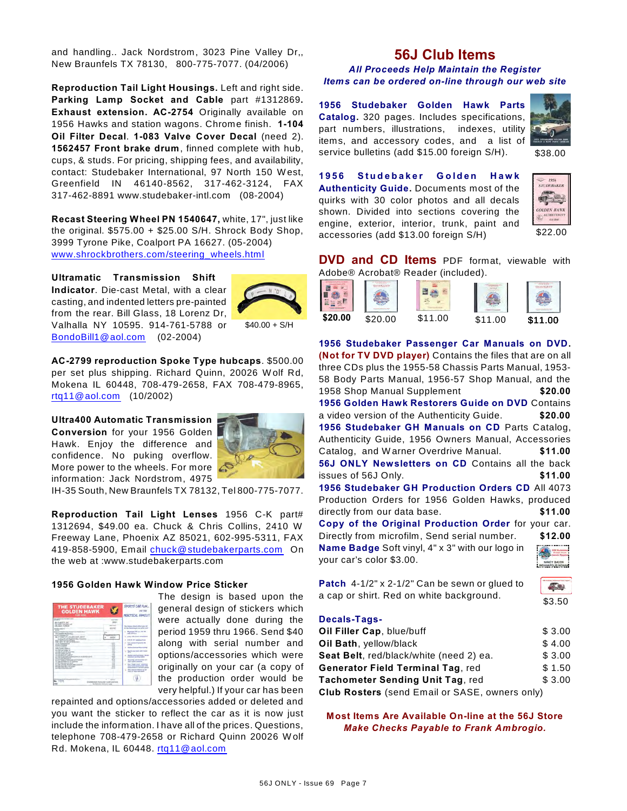and handling.. Jack Nordstrom, 3023 Pine Valley Dr,, New Braunfels TX 78130, 800-775-7077. (04/2006)

**Reproduction Tail Light Housings.** Left and right side. **Parking Lamp Socket and Cable** part #1312869**. Exhaust extension. AC-2754** Originally available on 1956 Hawks and station wagons. Chrome finish. **1-104 Oil Filter Decal**. **1-083 Valve Cover Decal** (need 2). **1562457 Front brake drum**, finned complete with hub, cups, & studs. For pricing, shipping fees, and availability, contact: Studebaker International, 97 North 150 W est, Greenfield IN 46140-8562, 317-462-3124, FAX 317-462-8891 www.studebaker-intl.com (08-2004)

**Recast Steering Wheel PN 1540647,** white, 17", just like the original. \$575.00 + \$25.00 S/H. Shrock Body Shop, 3999 Tyrone Pike, Coalport PA 16627. (05-2004) [www.shrockbrothers.com/steering\\_wheels.html](http://www.shrockbrothers.com/steering_wheels.html)

**Ultramatic Transmission Shift Indicator**. Die-cast Metal, with a clear casting, and indented letters pre-painted from the rear. Bill Glass, 18 Lorenz Dr, Valhalla NY 10595. 914-761-5788 or [BondoBill1@aol.com](mailto:BondoBill1@aol.com) (02-2004)



 $$40.00 + S/H$ 

**AC-2799 reproduction Spoke Type hubcaps**. \$500.00 per set plus shipping. Richard Quinn, 20026 W olf Rd, Mokena IL 60448, 708-479-2658, FAX 708-479-8965, [rtq11@aol.com](mailto:rtq11@aol.com) (10/2002)

**Ultra400 Automatic Transmission Conversion** for your 1956 Golden Hawk. Enjoy the difference and confidence. No puking overflow. More power to the wheels. For more information: Jack Nordstrom, 4975



IH-35 South, New Braunfels TX 78132, Tel 800-775-7077.

**Reproduction Tail Light Lenses** 1956 C-K part# 1312694, \$49.00 ea. Chuck & Chris Collins, 2410 W Freeway Lane, Phoenix AZ 85021, 602-995-5311, FAX 419-858-5900, Email [chuck@studebakerparts.com](mailto:chuck@studebakerparts.com) On the web at :www.studebakerparts.com

### **1956 Golden Hawk Window Price Sticker**

| <b>THE STUDEBAKER</b><br><b>GOLDEN HAWK</b><br><b>FOR YEAR</b><br>for consideration and state and                                                                                                                                                                                                                                                                                                                                                                                                                                                                                                                                                                                                                                                                                                                                                                                           | <b>SPORTS CAR FUND</b><br>PRACTICAL FAMILY!                                                                                                                                                                                                                                                                                                                                                                                                                                                                                                                                                                                                                                                      |
|---------------------------------------------------------------------------------------------------------------------------------------------------------------------------------------------------------------------------------------------------------------------------------------------------------------------------------------------------------------------------------------------------------------------------------------------------------------------------------------------------------------------------------------------------------------------------------------------------------------------------------------------------------------------------------------------------------------------------------------------------------------------------------------------------------------------------------------------------------------------------------------------|--------------------------------------------------------------------------------------------------------------------------------------------------------------------------------------------------------------------------------------------------------------------------------------------------------------------------------------------------------------------------------------------------------------------------------------------------------------------------------------------------------------------------------------------------------------------------------------------------------------------------------------------------------------------------------------------------|
| <b>STATE</b><br>ALCOHOL: NO<br>TH AFET LOWTHAL AVE<br>all asked at Dealine<br><b>ASSAULT AND THE</b><br><b>Alleged</b><br>by an air in final that this thousand that it that<br>PAIN COMMERCIAL AREA COMMERCIAL<br>ancient of human city.<br>Mr. AT FRANT CH. JUS. (KN 1458-1458)<br>handing (ii)'s get Augustus Room Augustus<br><b>BUY ARE VEH WATERS</b><br>tella Call 32 bal 13 Militarente<br>the Schmidter of<br>Allanta a support<br>THE R. P. LEWIS<br>٠<br>Michael Mark r<br>an Army London and<br>alumni sa ma<br><b>PECIFICATE</b><br>all and dealer of court of<br>a Company Association of Street<br><b>PER 27 St ARTIST</b><br>٠<br>all the arts applicate at<br>The results or restillations accelerated<br><b>MARINEZ OF DEALER</b><br>and start sales with a firm and<br>The Countries All Call August 11 Photograph<br>٠<br>the best and a control<br><b>LOW-TH-TALLA</b> | The Business Broad collect can, all<br>of the forest transit and the poster country<br>.<br>a. Magazine Mill and sea for<br><b>CARL CORNER</b><br>1. 1934 196-2 but students<br><b>STATE &amp; CAT Luxurings State</b><br><b>Sales courses the American Red</b><br>$-$<br><b>Subscribes Inc. Blue Attracts</b><br><b>Base For Auto Printed carried from</b><br>a,<br><b>Bullet and Latitude 10</b><br><b>Advertised and Atlant Forders</b><br>provided complete front shaking that<br><b>State Address of Concession</b><br><b>Buy That's that' charters</b><br><b>Brachwell commit a cost of the</b><br>automotive & seriesm at<br><b>Box courses halling to set</b><br>and of some self-state. |
| ----<br><b>TIM</b><br><b>CRANER GATA CRE TURE</b><br><b>Business Address and</b>                                                                                                                                                                                                                                                                                                                                                                                                                                                                                                                                                                                                                                                                                                                                                                                                            |                                                                                                                                                                                                                                                                                                                                                                                                                                                                                                                                                                                                                                                                                                  |

The design is based upon the general design of stickers which were actually done during the period 1959 thru 1966. Send \$40 along with serial number and options/accessories which were originally on your car (a copy of the production order would be very helpful.) If your car has been

repainted and options/accessories added or deleted and you want the sticker to reflect the car as it is now just include the information. I have all of the prices. Questions, telephone 708-479-2658 or Richard Quinn 20026 W olf Rd. Mokena, IL 60448. [rtq11@aol.com](mailto:rtq11@aol.com)

# **56J Club Items**

*All Proceeds Help Maintain the Register Items can be ordered on-line through our web site*

**1956 Studebaker Golden Hawk Parts Catalog.** 320 pages. Includes specifications, part numbers, illustrations, indexes, utility items, and accessory codes, and a list of service bulletins (add \$15.00 foreign S/H).



\$38.00

**1 9 5 6 S t u d e b a k e r G o l d e n H a w k Authenticity Guide.** Documents most of the quirks with 30 color photos and all decals shown. Divided into sections covering the engine, exterior, interior, trunk, paint and accessories (add \$13.00 foreign S/H)



**DVD and CD Items** PDF format, viewable with Adobe® Acrobat® Reader (included).



**1956 Studebaker Passenger Car Manuals on DVD. (Not for TV DVD player)** Contains the files that are on all three CDs plus the 1955-58 Chassis Parts Manual, 1953- 58 Body Parts Manual, 1956-57 Shop Manual, and the 1958 Shop Manual Supplement **\$20.00 1956 Golden Hawk Restorers Guide on DVD** Contains a video version of the Authenticity Guide. **\$20.00 1956 Studebaker GH Manuals on CD** Parts Catalog, Authenticity Guide, 1956 Owners Manual, Accessories Catalog, and W arner Overdrive Manual. **\$11.00 56J ONLY Newsletters on CD** Contains all the back issues of 56J Only. **\$11.00 1956 Studebaker GH Production Orders CD** All 4073 Production Orders for 1956 Golden Hawks, produced directly from our data base. **\$11.00 Copy of the Original Production Order** for your car. Directly from microfilm, Send serial number. **\$12.00 Name Badge** Soft vinyl, 4" x 3" with our logo in your car's color \$3.00.

| $\ddot{\text{}}$ |
|------------------|
| i                |
|                  |
|                  |

|  |                                          |  | <b>Patch</b> $4-1/2$ " x 2-1/2" Can be sewn or glued to |
|--|------------------------------------------|--|---------------------------------------------------------|
|  | a cap or shirt. Red on white background. |  |                                                         |

### **Decals-Tags-**

| Oil Filler Cap, blue/buff                             | \$3.00 |
|-------------------------------------------------------|--------|
| Oil Bath, yellow/black                                | \$4.00 |
| Seat Belt, red/black/white (need 2) ea.               | \$3.00 |
| <b>Generator Field Terminal Tag, red</b>              | \$1.50 |
| Tachometer Sending Unit Tag, red                      | \$3.00 |
| <b>Club Rosters</b> (send Email or SASE, owners only) |        |

**Most Items Are Available On-line at the 56J Store** *Make Checks Payable to Frank Ambrogio.*